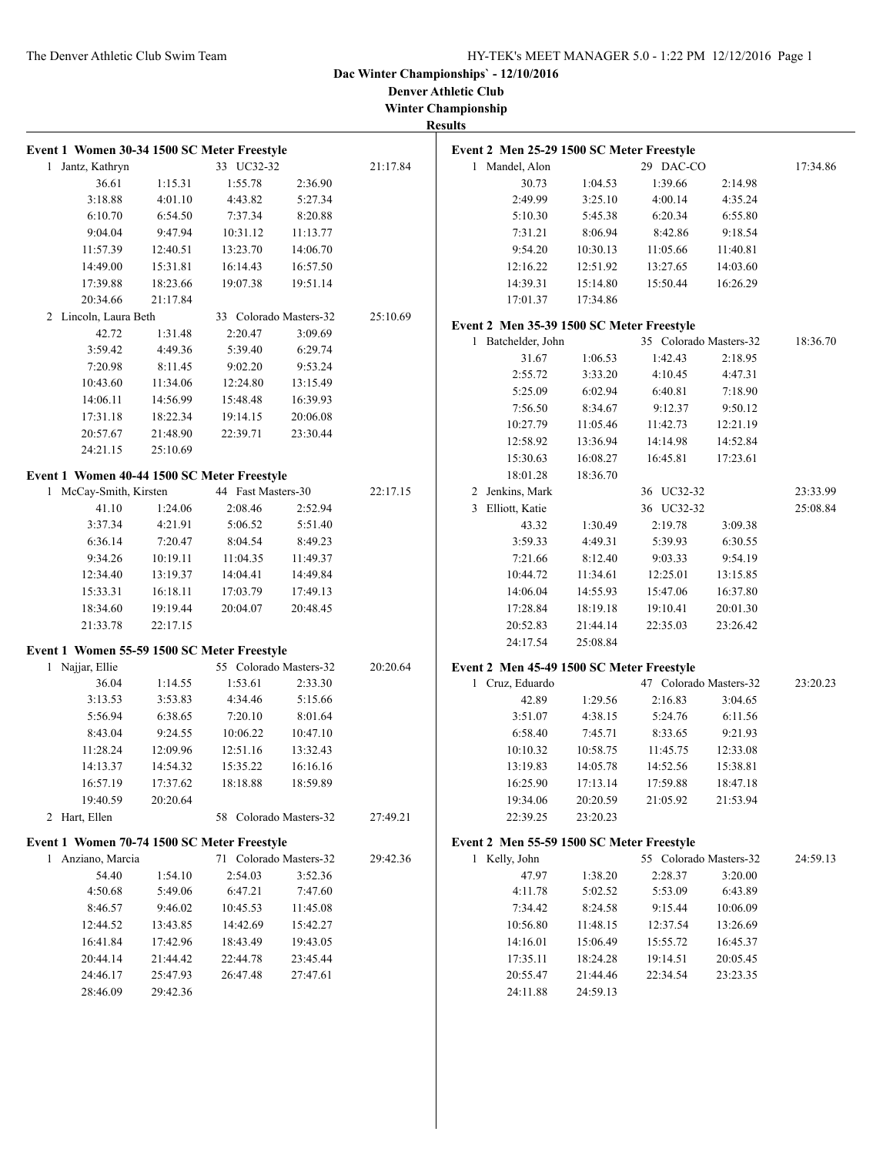**Denver Athletic Club Winter Championship**

| Event 1 Women 30-34 1500 SC Meter Freestyle |          |                        |                     |          |
|---------------------------------------------|----------|------------------------|---------------------|----------|
| Jantz, Kathryn<br>1                         |          | 33 UC32-32             |                     | 21:17.84 |
| 36.61                                       | 1:15.31  | 1:55.78                | 2:36.90             |          |
| 3:18.88                                     | 4:01.10  | 4:43.82                | 5:27.34             |          |
| 6:10.70                                     | 6:54.50  | 7:37.34                | 8:20.88             |          |
| 9:04.04                                     | 9:47.94  | 10:31.12               | 11:13.77            |          |
| 11:57.39                                    | 12:40.51 | 13:23.70               | 14:06.70            |          |
| 14:49.00                                    | 15:31.81 | 16:14.43               | 16:57.50            |          |
| 17:39.88                                    | 18:23.66 | 19:07.38               | 19:51.14            |          |
| 20:34.66                                    | 21:17.84 |                        |                     |          |
| 2 Lincoln, Laura Beth                       |          | 33 Colorado Masters-32 |                     | 25:10.69 |
| 42.72                                       | 1:31.48  | 2:20.47                | 3:09.69             |          |
| 3:59.42                                     | 4:49.36  | 5:39.40                | 6:29.74             |          |
| 7:20.98                                     | 8:11.45  | 9:02.20                | 9:53.24             |          |
| 10:43.60                                    | 11:34.06 | 12:24.80               | 13:15.49            |          |
| 14:06.11                                    | 14:56.99 | 15:48.48               | 16:39.93            |          |
| 17:31.18                                    | 18:22.34 | 19:14.15               | 20:06.08            |          |
| 20:57.67                                    | 21:48.90 | 22:39.71               | 23:30.44            |          |
| 24:21.15                                    | 25:10.69 |                        |                     |          |
|                                             |          |                        |                     |          |
| Event 1 Women 40-44 1500 SC Meter Freestyle |          |                        |                     |          |
| McCay-Smith, Kirsten<br>1                   |          | 44 Fast Masters-30     |                     | 22:17.15 |
| 41.10                                       | 1:24.06  | 2:08.46                | 2:52.94             |          |
| 3:37.34                                     | 4:21.91  | 5:06.52                | 5:51.40             |          |
| 6:36.14                                     | 7:20.47  | 8:04.54                | 8:49.23             |          |
| 9:34.26                                     | 10:19.11 | 11:04.35               | 11:49.37            |          |
| 12:34.40                                    | 13:19.37 | 14:04.41               | 14:49.84            |          |
| 15:33.31                                    | 16:18.11 | 17:03.79               | 17:49.13            |          |
| 18:34.60                                    | 19:19.44 | 20:04.07               | 20:48.45            |          |
| 21:33.78                                    | 22:17.15 |                        |                     |          |
| Event 1 Women 55-59 1500 SC Meter Freestyle |          |                        |                     |          |
| Najjar, Ellie<br>1                          |          | 55 Colorado Masters-32 |                     | 20:20.64 |
| 36.04                                       | 1:14.55  | 1:53.61                | 2:33.30             |          |
| 3:13.53                                     | 3:53.83  | 4:34.46                | 5:15.66             |          |
| 5:56.94                                     | 6:38.65  | 7:20.10                | 8:01.64             |          |
| 8:43.04                                     | 9:24.55  | 10:06.22               | 10:47.10            |          |
| 11:28.24                                    | 12:09.96 | 12:51.16               | 13:32.43            |          |
| 14:13.37                                    | 14:54.32 | 15:35.22               | 16:16.16            |          |
| 16:57.19                                    | 17:37.62 | 18:18.88               | 18:59.89            |          |
| 19:40.59                                    | 20:20.64 |                        |                     |          |
| 2 Hart, Ellen                               |          | 58                     | Colorado Masters-32 | 27:49.21 |
|                                             |          |                        |                     |          |
| Event 1 Women 70-74 1500 SC Meter Freestyle |          |                        |                     |          |
| Anziano, Marcia<br>1                        |          | 71 Colorado Masters-32 |                     | 29:42.36 |
| 54.40                                       | 1:54.10  | 2:54.03                | 3:52.36             |          |
| 4:50.68                                     | 5:49.06  | 6:47.21                | 7:47.60             |          |
| 8:46.57                                     | 9:46.02  | 10:45.53               | 11:45.08            |          |
| 12:44.52                                    | 13:43.85 | 14:42.69               | 15:42.27            |          |
| 16:41.84                                    | 17:42.96 | 18:43.49               | 19:43.05            |          |
| 20:44.14                                    | 21:44.42 | 22:44.78               | 23:45.44            |          |
| 24:46.17                                    | 25:47.93 | 26:47.48               | 27:47.61            |          |
| 28:46.09                                    | 29:42.36 |                        |                     |          |

|   | Event 2 Men 25-29 1500 SC Meter Freestyle |          |            |                        |          |
|---|-------------------------------------------|----------|------------|------------------------|----------|
| 1 | Mandel, Alon                              |          | 29 DAC-CO  |                        | 17:34.86 |
|   | 30.73                                     | 1:04.53  | 1:39.66    | 2:14.98                |          |
|   | 2:49.99                                   | 3:25.10  | 4:00.14    | 4:35.24                |          |
|   | 5:10.30                                   | 5:45.38  | 6:20.34    | 6:55.80                |          |
|   | 7:31.21                                   | 8:06.94  | 8:42.86    | 9:18.54                |          |
|   | 9:54.20                                   | 10:30.13 | 11:05.66   | 11:40.81               |          |
|   | 12:16.22                                  | 12:51.92 | 13:27.65   | 14:03.60               |          |
|   | 14:39.31                                  | 15:14.80 | 15:50.44   | 16:26.29               |          |
|   | 17:01.37                                  | 17:34.86 |            |                        |          |
|   | Event 2 Men 35-39 1500 SC Meter Freestyle |          |            |                        |          |
| 1 | Batchelder, John                          |          |            | 35 Colorado Masters-32 | 18:36.70 |
|   | 31.67                                     | 1:06.53  | 1:42.43    | 2:18.95                |          |
|   | 2:55.72                                   | 3:33.20  | 4:10.45    | 4:47.31                |          |
|   | 5:25.09                                   | 6:02.94  | 6:40.81    | 7:18.90                |          |
|   | 7:56.50                                   | 8:34.67  | 9:12.37    | 9:50.12                |          |
|   | 10:27.79                                  | 11:05.46 | 11:42.73   | 12:21.19               |          |
|   | 12:58.92                                  | 13:36.94 | 14:14.98   | 14:52.84               |          |
|   | 15:30.63                                  | 16:08.27 | 16:45.81   | 17:23.61               |          |
|   | 18:01.28                                  | 18:36.70 |            |                        |          |
| 2 | Jenkins, Mark                             |          | 36 UC32-32 |                        | 23:33.99 |
| 3 | Elliott, Katie                            |          | 36 UC32-32 |                        | 25:08.84 |
|   | 43.32                                     | 1:30.49  | 2:19.78    | 3:09.38                |          |
|   | 3:59.33                                   | 4:49.31  | 5:39.93    | 6:30.55                |          |
|   | 7:21.66                                   | 8:12.40  | 9:03.33    | 9:54.19                |          |
|   | 10:44.72                                  | 11:34.61 | 12:25.01   | 13:15.85               |          |
|   | 14:06.04                                  | 14:55.93 | 15:47.06   | 16:37.80               |          |
|   | 17:28.84                                  | 18:19.18 | 19:10.41   | 20:01.30               |          |
|   | 20:52.83                                  | 21:44.14 | 22:35.03   | 23:26.42               |          |
|   | 24:17.54                                  | 25:08.84 |            |                        |          |
|   |                                           |          |            |                        |          |
|   | Event 2 Men 45-49 1500 SC Meter Freestyle |          |            |                        |          |
| 1 | Cruz, Eduardo                             |          |            | 47 Colorado Masters-32 | 23:20.23 |
|   | 42.89                                     | 1:29.56  | 2:16.83    | 3:04.65                |          |
|   | 3:51.07                                   | 4:38.15  | 5:24.76    | 6:11.56                |          |
|   | 6:58.40                                   | 7:45.71  | 8:33.65    | 9:21.93                |          |
|   | 10:10.32                                  | 10:58.75 | 11:45.75   | 12:33.08               |          |
|   | 13:19.83                                  | 14:05.78 | 14:52.56   | 15:38.81               |          |
|   | 16:25.90                                  | 17:13.14 | 17:59.88   | 18:47.18               |          |
|   | 19:34.06                                  | 20:20.59 | 21:05.92   | 21:53.94               |          |
|   | 22:39.25                                  | 23:20.23 |            |                        |          |
|   | Event 2 Men 55-59 1500 SC Meter Freestyle |          |            |                        |          |
|   | 1 Kelly, John                             |          |            | 55 Colorado Masters-32 | 24:59.13 |
|   | 47.97                                     | 1:38.20  | 2:28.37    | 3:20.00                |          |
|   | 4:11.78                                   | 5:02.52  | 5:53.09    | 6:43.89                |          |
|   | 7:34.42                                   | 8:24.58  | 9:15.44    | 10:06.09               |          |
|   | 10:56.80                                  | 11:48.15 | 12:37.54   | 13:26.69               |          |
|   | 14:16.01                                  | 15:06.49 | 15:55.72   | 16:45.37               |          |
|   | 17:35.11                                  | 18:24.28 | 19:14.51   | 20:05.45               |          |
|   | 20:55.47                                  | 21:44.46 | 22:34.54   | 23:23.35               |          |
|   | 24:11.88                                  | 24:59.13 |            |                        |          |
|   |                                           |          |            |                        |          |
|   |                                           |          |            |                        |          |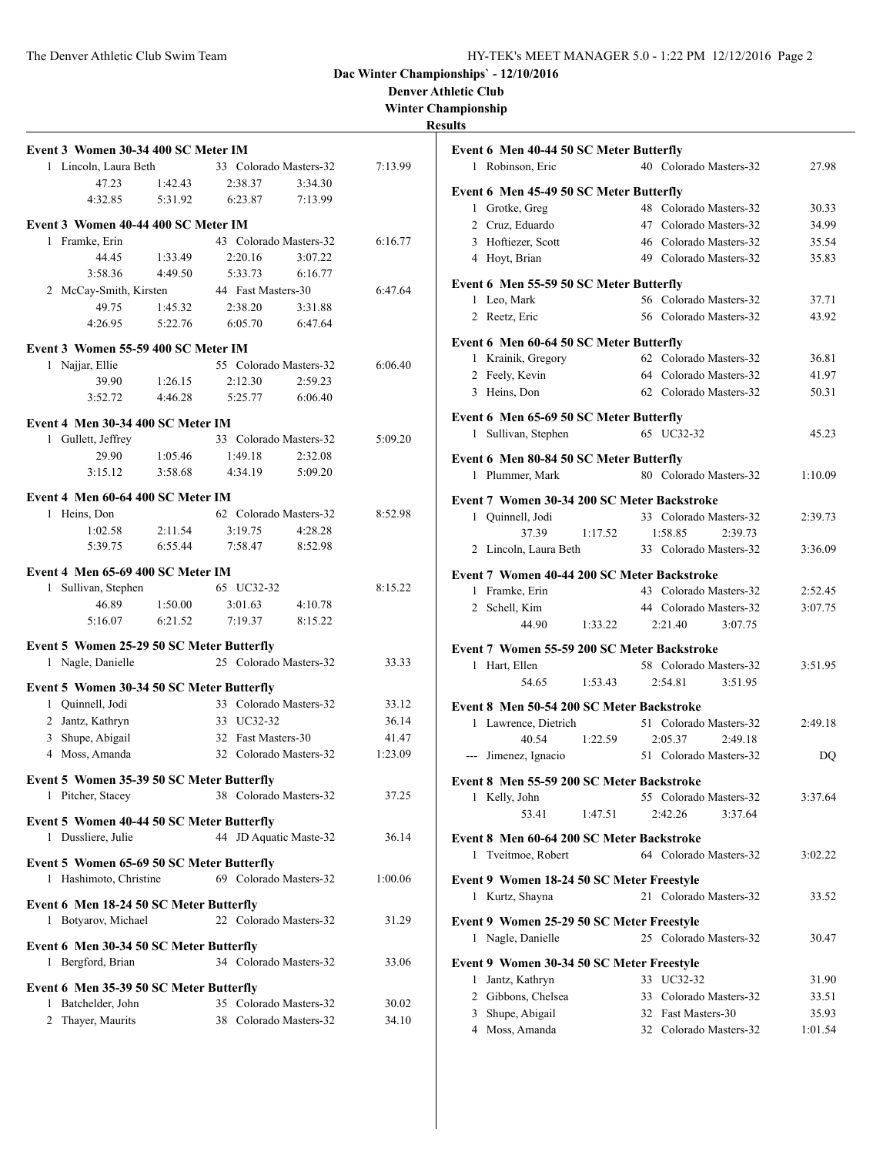**Denver Athletic Club**

**Winter Championship**

#### **Resul**

| Event 3 Women 30-34 400 SC Meter IM                    |         |                           |         |
|--------------------------------------------------------|---------|---------------------------|---------|
| 1 Lincoln, Laura Beth                                  |         | 33 Colorado Masters-32    | 7:13.99 |
| 47.23                                                  | 1:42.43 | 2:38.37<br>3:34.30        |         |
| 4:32.85                                                | 5:31.92 | 6:23.87<br>7:13.99        |         |
| Event 3 Women 40-44 400 SC Meter IM                    |         |                           |         |
| 1 Framke, Erin                                         |         | 43 Colorado Masters-32    | 6:16.77 |
| 44.45                                                  | 1:33.49 | 2:20.16<br>3:07.22        |         |
| 3:58.36                                                | 4:49.50 | 6:16.77<br>5:33.73        |         |
| 2 McCay-Smith, Kirsten                                 |         | 44 Fast Masters-30        | 6:47.64 |
| 49.75                                                  | 1:45.32 | 2:38.20<br>3:31.88        |         |
| 4:26.95                                                | 5:22.76 | 6:05.70<br>6:47.64        |         |
|                                                        |         |                           |         |
| Event 3 Women 55-59 400 SC Meter IM<br>1 Najjar, Ellie |         | 55 Colorado Masters-32    |         |
|                                                        |         |                           | 6:06.40 |
| 39.90                                                  | 1:26.15 | 2:12.30<br>2:59.23        |         |
| 3:52.72                                                | 4:46.28 | 5:25.77<br>6:06.40        |         |
| Event 4 Men 30-34 400 SC Meter IM                      |         |                           |         |
| 1 Gullett, Jeffrey                                     |         | 33 Colorado Masters-32    | 5:09.20 |
| 29.90                                                  | 1:05.46 | 1:49.18<br>2:32.08        |         |
| 3:15.12                                                | 3:58.68 | 4:34.19<br>5:09.20        |         |
| Event 4 Men 60-64 400 SC Meter IM                      |         |                           |         |
| Heins, Don<br>$\mathbf{1}$                             |         | 62 Colorado Masters-32    | 8:52.98 |
| 1:02.58                                                | 2:11.54 | 3:19.75<br>4:28.28        |         |
| 5:39.75                                                | 6:55.44 | 7:58.47<br>8:52.98        |         |
|                                                        |         |                           |         |
| Event 4 Men 65-69 400 SC Meter IM                      |         |                           |         |
| Sullivan, Stephen<br>1                                 |         | 65 UC32-32                | 8:15.22 |
| 46.89                                                  | 1:50.00 | 3:01.63<br>4:10.78        |         |
| 5:16.07                                                | 6:21.52 | 7:19.37<br>8:15.22        |         |
| Event 5 Women 25-29 50 SC Meter Butterfly              |         |                           |         |
| 1 Nagle, Danielle                                      |         | 25 Colorado Masters-32    | 33.33   |
| Event 5 Women 30-34 50 SC Meter Butterfly              |         |                           |         |
| 1 Quinnell, Jodi                                       |         | 33 Colorado Masters-32    | 33.12   |
| 2 Jantz, Kathryn                                       |         | 33 UC32-32                | 36.14   |
| 3 Shupe, Abigail                                       |         | 32 Fast Masters-30        | 41.47   |
| 4 Moss, Amanda                                         |         | 32 Colorado Masters-32    | 1:23.09 |
|                                                        |         |                           |         |
| Event 5 Women 35-39 50 SC Meter Butterfly              |         |                           |         |
| 1 Pitcher, Stacey                                      |         | 38 Colorado Masters-32    | 37.25   |
| Event 5 Women 40-44 50 SC Meter Butterfly              |         |                           |         |
| Dussliere, Julie<br>1                                  |         | 44 JD Aquatic Maste-32    | 36.14   |
|                                                        |         |                           |         |
| Event 5 Women 65-69 50 SC Meter Butterfly              |         | 69 Colorado Masters-32    | 1:00.06 |
| 1 Hashimoto, Christine                                 |         |                           |         |
| Event 6 Men 18-24 50 SC Meter Butterfly                |         |                           |         |
| 1 Botyarov, Michael                                    |         | 22 Colorado Masters-32    | 31.29   |
| Event 6 Men 30-34 50 SC Meter Butterfly                |         |                           |         |
| 1 Bergford, Brian                                      |         | 34 Colorado Masters-32    | 33.06   |
|                                                        |         |                           |         |
| Event 6 Men 35-39 50 SC Meter Butterfly                |         |                           |         |
| Batchelder, John<br>1                                  |         | 35 Colorado Masters-32    | 30.02   |
| Thayer, Maurits<br>2                                   |         | Colorado Masters-32<br>38 | 34.10   |

| lts   |                                                         |         |    |                                              |         |
|-------|---------------------------------------------------------|---------|----|----------------------------------------------|---------|
|       | Event 6 Men 40-44 50 SC Meter Butterfly                 |         |    |                                              |         |
|       | 1 Robinson, Eric                                        |         |    | 40 Colorado Masters-32                       | 27.98   |
|       |                                                         |         |    |                                              |         |
| 1     | Event 6 Men 45-49 50 SC Meter Butterfly<br>Grotke, Greg |         |    | 48 Colorado Masters-32                       | 30.33   |
|       | 2 Cruz, Eduardo                                         |         |    | 47 Colorado Masters-32                       | 34.99   |
|       | 3 Hoftiezer, Scott                                      |         |    | 46 Colorado Masters-32                       | 35.54   |
|       | 4 Hoyt, Brian                                           |         |    | 49 Colorado Masters-32                       | 35.83   |
|       |                                                         |         |    |                                              |         |
|       | Event 6 Men 55-59 50 SC Meter Butterfly                 |         |    |                                              |         |
|       | 1 Leo, Mark                                             |         |    | 56 Colorado Masters-32                       | 37.71   |
|       | 2 Reetz, Eric                                           |         |    | 56 Colorado Masters-32                       | 43.92   |
|       | Event 6 Men 60-64 50 SC Meter Butterfly                 |         |    |                                              |         |
|       | 1 Krainik, Gregory                                      |         |    | 62 Colorado Masters-32                       | 36.81   |
|       | 2 Feely, Kevin                                          |         |    | 64 Colorado Masters-32                       | 41.97   |
|       | 3 Heins, Don                                            |         |    | 62 Colorado Masters-32                       | 50.31   |
|       | Event 6 Men 65-69 50 SC Meter Butterfly                 |         |    |                                              |         |
| 1     | Sullivan, Stephen                                       |         |    | 65 UC32-32                                   | 45.23   |
|       |                                                         |         |    |                                              |         |
|       | Event 6 Men 80-84 50 SC Meter Butterfly                 |         |    |                                              |         |
|       | 1 Plummer, Mark                                         |         |    | 80 Colorado Masters-32                       | 1:10.09 |
|       | Event 7 Women 30-34 200 SC Meter Backstroke             |         |    |                                              |         |
|       | 1 Quinnell, Jodi                                        |         |    | 33 Colorado Masters-32                       | 2:39.73 |
|       | 37.39                                                   | 1:17.52 |    | 1:58.85<br>2:39.73                           |         |
|       | 2 Lincoln, Laura Beth                                   |         |    | 33 Colorado Masters-32                       | 3:36.09 |
|       |                                                         |         |    |                                              |         |
|       | Event 7 Women 40-44 200 SC Meter Backstroke             |         |    | 43 Colorado Masters-32                       |         |
| 1     | Framke, Erin                                            |         |    |                                              | 2:52.45 |
|       | 2 Schell, Kim<br>44.90                                  | 1:33.22 |    | 44 Colorado Masters-32<br>2:21.40<br>3:07.75 | 3:07.75 |
|       |                                                         |         |    |                                              |         |
|       | Event 7 Women 55-59 200 SC Meter Backstroke             |         |    |                                              |         |
|       | 1 Hart, Ellen                                           |         |    | 58 Colorado Masters-32                       | 3:51.95 |
|       | 54.65                                                   | 1:53.43 |    | 2:54.81<br>3:51.95                           |         |
|       | Event 8 Men 50-54 200 SC Meter Backstroke               |         |    |                                              |         |
| 1     | Lawrence, Dietrich                                      |         |    | 51 Colorado Masters-32                       | 2:49.18 |
|       | 40.54                                                   | 1:22.59 |    | 2:05.37<br>2:49.18                           |         |
| $---$ | Jimenez, Ignacio                                        |         |    | 51 Colorado Masters-32                       | DQ      |
|       |                                                         |         |    |                                              |         |
|       | Event 8 Men 55-59 200 SC Meter Backstroke               |         |    | 55 Colorado Masters-32                       |         |
|       | 1 Kelly, John                                           | 1:47.51 |    | 2:42.26<br>3:37.64                           | 3:37.64 |
|       | 53.41                                                   |         |    |                                              |         |
|       | Event 8 Men 60-64 200 SC Meter Backstroke               |         |    |                                              |         |
|       | 1 Tveitmoe, Robert                                      |         |    | 64 Colorado Masters-32                       | 3:02.22 |
|       | Event 9 Women 18-24 50 SC Meter Freestyle               |         |    |                                              |         |
|       | 1 Kurtz, Shayna                                         |         |    | 21 Colorado Masters-32                       | 33.52   |
|       |                                                         |         |    |                                              |         |
|       | Event 9 Women 25-29 50 SC Meter Freestyle               |         |    |                                              |         |
|       | 1 Nagle, Danielle                                       |         |    | 25 Colorado Masters-32                       | 30.47   |
|       | Event 9 Women 30-34 50 SC Meter Freestyle               |         |    |                                              |         |
| 1     | Jantz, Kathryn                                          |         |    | 33 UC32-32                                   | 31.90   |
|       | 2 Gibbons, Chelsea                                      |         | 33 | Colorado Masters-32                          | 33.51   |
| 3     | Shupe, Abigail                                          |         |    | 32 Fast Masters-30                           | 35.93   |
|       | 4 Moss, Amanda                                          |         |    | 32 Colorado Masters-32                       | 1:01.54 |
|       |                                                         |         |    |                                              |         |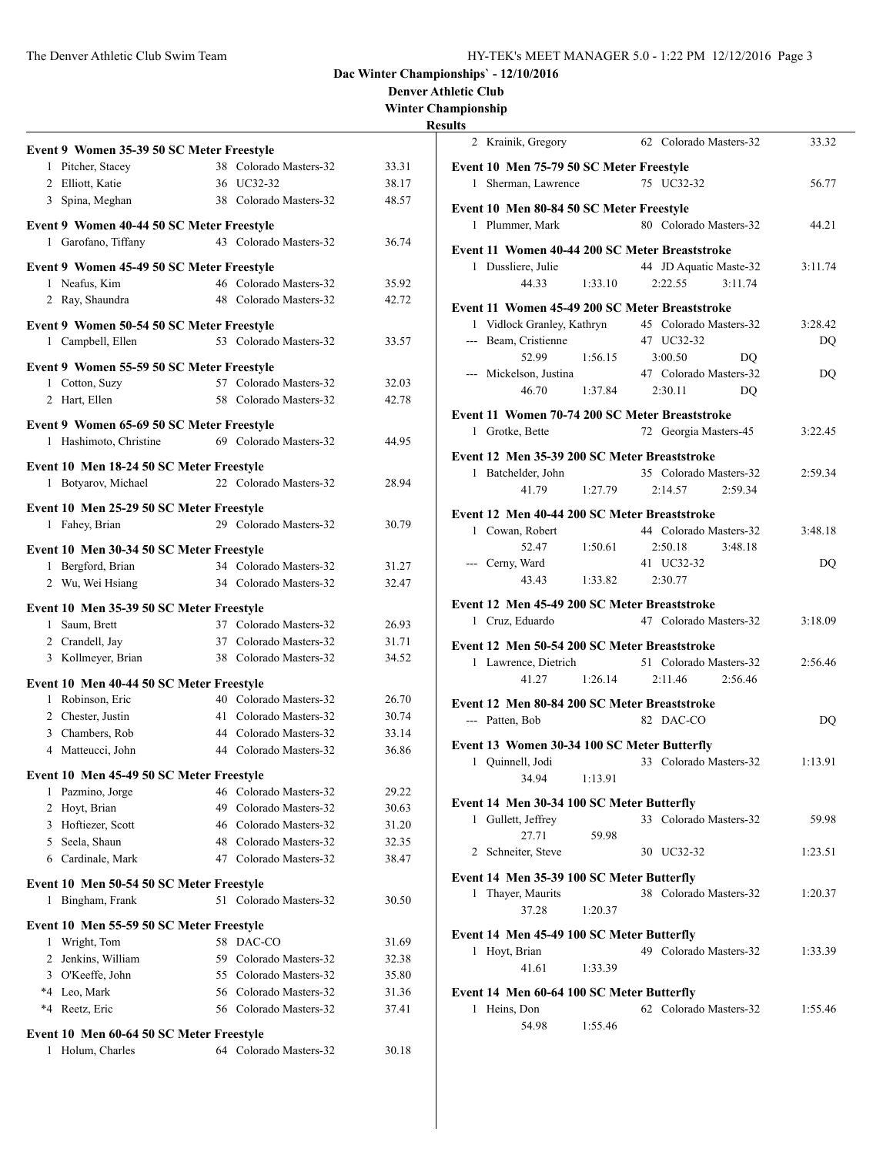#### **Denver Athletic Club**

**Winter Championship**

## **Resu**

|   | Event 9 Women 35-39 50 SC Meter Freestyle |     |                        |       |
|---|-------------------------------------------|-----|------------------------|-------|
|   | 1 Pitcher, Stacey                         |     | 38 Colorado Masters-32 | 33.31 |
|   | 2 Elliott, Katie                          |     | 36 UC32-32             | 38.17 |
|   | 3 Spina, Meghan                           |     | 38 Colorado Masters-32 | 48.57 |
|   | Event 9 Women 40-44 50 SC Meter Freestyle |     |                        |       |
| 1 | Garofano, Tiffany                         |     | 43 Colorado Masters-32 | 36.74 |
|   | Event 9 Women 45-49 50 SC Meter Freestyle |     |                        |       |
|   | 1 Neafus, Kim                             |     | 46 Colorado Masters-32 | 35.92 |
|   | 2 Ray, Shaundra                           |     | 48 Colorado Masters-32 | 42.72 |
|   | Event 9 Women 50-54 50 SC Meter Freestyle |     |                        |       |
|   | 1 Campbell, Ellen                         |     | 53 Colorado Masters-32 | 33.57 |
|   | Event 9 Women 55-59 50 SC Meter Freestyle |     |                        |       |
| 1 | Cotton, Suzy                              |     | 57 Colorado Masters-32 | 32.03 |
|   | 2 Hart, Ellen                             |     | 58 Colorado Masters-32 | 42.78 |
|   | Event 9 Women 65-69 50 SC Meter Freestyle |     |                        |       |
|   | 1 Hashimoto, Christine                    |     | 69 Colorado Masters-32 | 44.95 |
|   | Event 10 Men 18-24 50 SC Meter Freestyle  |     |                        |       |
|   | 1 Botyarov, Michael                       |     | 22 Colorado Masters-32 | 28.94 |
|   | Event 10 Men 25-29 50 SC Meter Freestyle  |     |                        |       |
| 1 | Fahey, Brian                              |     | 29 Colorado Masters-32 | 30.79 |
|   | Event 10 Men 30-34 50 SC Meter Freestyle  |     |                        |       |
|   | 1 Bergford, Brian                         |     | 34 Colorado Masters-32 | 31.27 |
|   | 2 Wu, Wei Hsiang                          |     | 34 Colorado Masters-32 | 32.47 |
|   | Event 10 Men 35-39 50 SC Meter Freestyle  |     |                        |       |
|   | 1 Saum, Brett                             |     | 37 Colorado Masters-32 | 26.93 |
|   | 2 Crandell, Jay                           |     | 37 Colorado Masters-32 | 31.71 |
|   | 3 Kollmeyer, Brian                        |     | 38 Colorado Masters-32 | 34.52 |
|   | Event 10 Men 40-44 50 SC Meter Freestyle  |     |                        |       |
|   | 1 Robinson, Eric                          |     | 40 Colorado Masters-32 | 26.70 |
|   | 2 Chester, Justin                         |     | 41 Colorado Masters-32 | 30.74 |
|   | 3 Chambers, Rob                           |     | 44 Colorado Masters-32 | 33.14 |
|   | 4 Matteucci, John                         |     | 44 Colorado Masters-32 | 36.86 |
|   | Event 10 Men 45-49 50 SC Meter Freestyle  |     |                        |       |
| 1 | Pazmino, Jorge                            |     | 46 Colorado Masters-32 | 29.22 |
|   | 2 Hoyt, Brian                             |     | 49 Colorado Masters-32 | 30.63 |
|   | 3 Hoftiezer, Scott                        |     | 46 Colorado Masters-32 | 31.20 |
|   | 5 Seela, Shaun                            |     | 48 Colorado Masters-32 | 32.35 |
|   | 6 Cardinale, Mark                         |     | 47 Colorado Masters-32 | 38.47 |
|   | Event 10 Men 50-54 50 SC Meter Freestyle  |     |                        |       |
| 1 | Bingham, Frank                            |     | 51 Colorado Masters-32 | 30.50 |
|   | Event 10 Men 55-59 50 SC Meter Freestyle  |     |                        |       |
| 1 | Wright, Tom                               | 58  | DAC-CO                 | 31.69 |
| 2 | Jenkins, William                          | 59. | Colorado Masters-32    | 32.38 |
|   | 3 O'Keeffe, John                          |     | 55 Colorado Masters-32 | 35.80 |
|   | *4 Leo, Mark                              |     | 56 Colorado Masters-32 | 31.36 |
|   | *4 Reetz, Eric                            |     | 56 Colorado Masters-32 | 37.41 |
|   | Event 10 Men 60-64 50 SC Meter Freestyle  |     |                        |       |
| 1 | Holum, Charles                            |     | 64 Colorado Masters-32 | 30.18 |
|   |                                           |     |                        |       |

| ults |                                                |         |                        |         |         |
|------|------------------------------------------------|---------|------------------------|---------|---------|
|      | 2 Krainik, Gregory                             |         | 62 Colorado Masters-32 |         | 33.32   |
|      | Event 10 Men 75-79 50 SC Meter Freestyle       |         |                        |         |         |
|      | 1 Sherman, Lawrence                            |         | 75 UC32-32             |         | 56.77   |
|      | Event 10 Men 80-84 50 SC Meter Freestyle       |         |                        |         |         |
|      | 1 Plummer, Mark                                |         | 80 Colorado Masters-32 |         | 44.21   |
|      | Event 11 Women 40-44 200 SC Meter Breaststroke |         |                        |         |         |
|      | 1 Dussliere, Julie                             |         | 44 JD Aquatic Maste-32 |         | 3:11.74 |
|      | 44.33                                          | 1:33.10 | 2:22.55                | 3:11.74 |         |
|      | Event 11 Women 45-49 200 SC Meter Breaststroke |         |                        |         |         |
|      | 1 Vidlock Granley, Kathryn                     |         | 45 Colorado Masters-32 |         | 3:28.42 |
|      | --- Beam, Cristienne                           |         | 47 UC32-32             |         | DQ      |
|      | 52.99                                          | 1:56.15 | 3:00.50                | DO      |         |
|      | --- Mickelson, Justina                         |         | 47 Colorado Masters-32 |         | DQ      |
|      | 46.70                                          | 1:37.84 | 2:30.11                | DO      |         |
|      | Event 11 Women 70-74 200 SC Meter Breaststroke |         |                        |         |         |
|      | 1 Grotke, Bette                                |         | 72 Georgia Masters-45  |         | 3:22.45 |
|      | Event 12 Men 35-39 200 SC Meter Breaststroke   |         |                        |         |         |
|      | 1 Batchelder, John                             |         | 35 Colorado Masters-32 |         | 2:59.34 |
|      | 41.79                                          | 1:27.79 | 2:14.57                | 2:59.34 |         |
|      |                                                |         |                        |         |         |
|      | Event 12 Men 40-44 200 SC Meter Breaststroke   |         |                        |         |         |
|      | 1 Cowan, Robert                                |         | 44 Colorado Masters-32 |         | 3:48.18 |
|      | 52.47                                          | 1:50.61 | 2:50.18                | 3:48.18 |         |
|      | --- Cerny, Ward<br>43.43                       |         | 41 UC32-32<br>2:30.77  |         | DQ      |
|      |                                                | 1:33.82 |                        |         |         |
|      | Event 12 Men 45-49 200 SC Meter Breaststroke   |         |                        |         |         |
|      | 1 Cruz, Eduardo                                |         | 47 Colorado Masters-32 |         | 3:18.09 |
|      | Event 12 Men 50-54 200 SC Meter Breaststroke   |         |                        |         |         |
|      | 1 Lawrence, Dietrich                           |         | 51 Colorado Masters-32 |         | 2:56.46 |
|      | 41.27                                          | 1:26.14 | 2:11.46                | 2:56.46 |         |
|      | Event 12 Men 80-84 200 SC Meter Breaststroke   |         |                        |         |         |
|      | --- Patten, Bob                                |         | 82 DAC-CO              |         | DO      |
|      |                                                |         |                        |         |         |
|      | Event 13 Women 30-34 100 SC Meter Butterfly    |         |                        |         |         |
|      | 1 Quinnell, Jodi                               |         | 33 Colorado Masters-32 |         | 1:13.91 |
|      | 34.94                                          | 1:13.91 |                        |         |         |
|      | Event 14 Men 30-34 100 SC Meter Butterfly      |         |                        |         |         |
|      | 1 Gullett, Jeffrey                             |         | 33 Colorado Masters-32 |         | 59.98   |
|      | 27.71                                          | 59.98   |                        |         |         |
|      | 2 Schneiter, Steve                             |         | 30 UC32-32             |         | 1:23.51 |
|      | Event 14 Men 35-39 100 SC Meter Butterfly      |         |                        |         |         |
|      | 1 Thayer, Maurits                              |         | 38 Colorado Masters-32 |         | 1:20.37 |
|      | 37.28                                          | 1:20.37 |                        |         |         |
|      |                                                |         |                        |         |         |
|      | Event 14 Men 45-49 100 SC Meter Butterfly      |         |                        |         |         |
|      | 1 Hoyt, Brian                                  |         | 49 Colorado Masters-32 |         | 1:33.39 |
|      | 41.61                                          | 1:33.39 |                        |         |         |
|      | Event 14 Men 60-64 100 SC Meter Butterfly      |         |                        |         |         |
|      | 1 Heins, Don                                   |         | 62 Colorado Masters-32 |         | 1:55.46 |
|      | 54.98                                          | 1:55.46 |                        |         |         |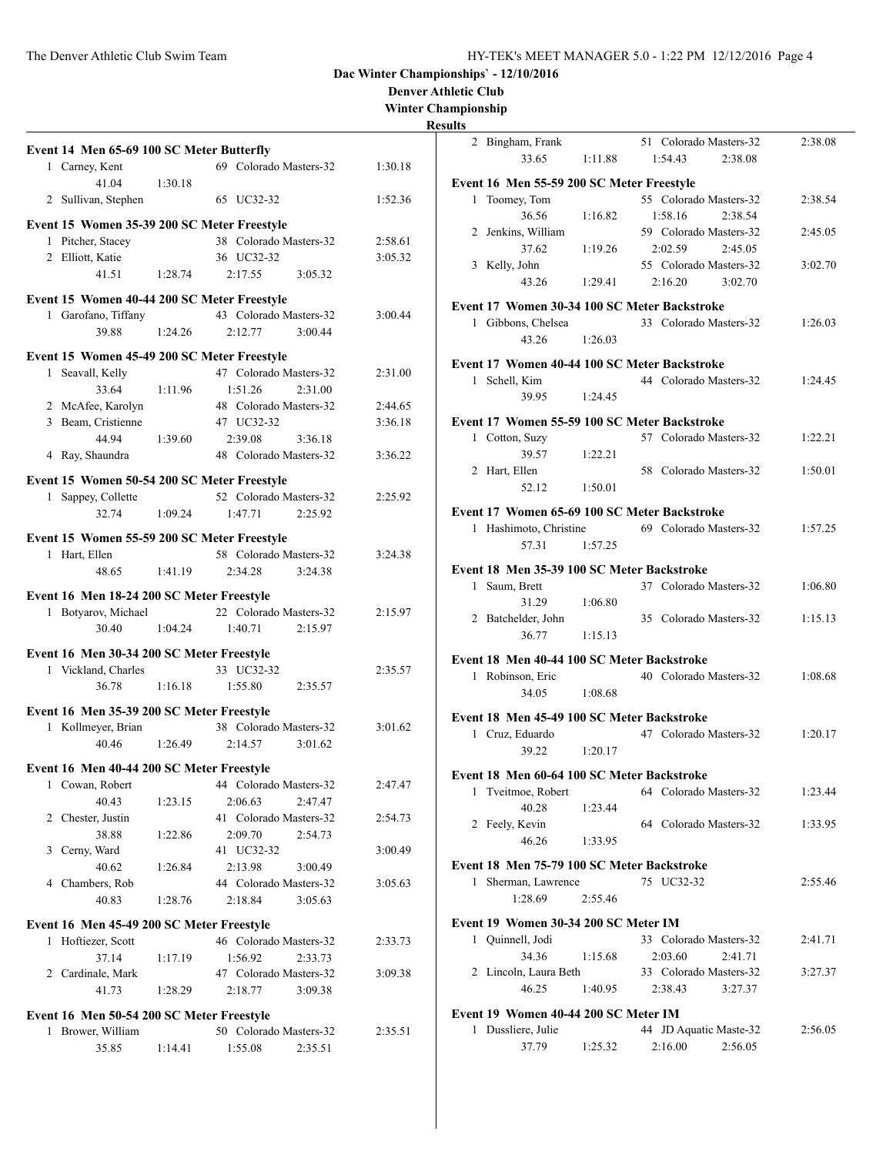**Denver Athletic Club**

**Winter Championship**

| Event 14 Men 65-69 100 SC Meter Butterfly                               |         |                                              |         |
|-------------------------------------------------------------------------|---------|----------------------------------------------|---------|
| 1 Carney, Kent                                                          |         | 69 Colorado Masters-32                       | 1:30.18 |
| 41.04                                                                   | 1:30.18 |                                              |         |
| 2 Sullivan, Stephen                                                     |         | 65 UC32-32                                   | 1:52.36 |
| Event 15 Women 35-39 200 SC Meter Freestyle                             |         |                                              |         |
| 1 Pitcher, Stacey                                                       |         | 38 Colorado Masters-32                       | 2:58.61 |
| 2 Elliott, Katie                                                        |         | 36 UC32-32                                   | 3:05.32 |
| 41.51                                                                   | 1:28.74 | 2:17.55<br>3:05.32                           |         |
| Event 15 Women 40-44 200 SC Meter Freestyle                             |         |                                              |         |
| 1 Garofano, Tiffany                                                     |         | 43 Colorado Masters-32                       | 3:00.44 |
| 39.88                                                                   | 1:24.26 | 2:12.77<br>3:00.44                           |         |
| Event 15 Women 45-49 200 SC Meter Freestyle                             |         |                                              |         |
| 1 Seavall, Kelly                                                        |         | 47 Colorado Masters-32                       | 2:31.00 |
| 33.64                                                                   | 1:11.96 | 1:51.26<br>2:31.00                           |         |
| 2 McAfee, Karolyn                                                       |         | 48 Colorado Masters-32                       | 2:44.65 |
| 3 Beam, Cristienne                                                      |         | 47 UC32-32                                   | 3:36.18 |
| 44.94                                                                   | 1:39.60 | 2:39.08<br>3:36.18                           |         |
| 4 Ray, Shaundra                                                         |         | 48 Colorado Masters-32                       | 3:36.22 |
| Event 15 Women 50-54 200 SC Meter Freestyle                             |         |                                              |         |
| 1 Sappey, Collette                                                      |         | 52 Colorado Masters-32                       | 2:25.92 |
| 32.74                                                                   | 1:09.24 | 2:25.92<br>1:47.71                           |         |
| Event 15 Women 55-59 200 SC Meter Freestyle                             |         |                                              |         |
| 1 Hart, Ellen                                                           |         | 58 Colorado Masters-32                       | 3:24.38 |
| 48.65                                                                   | 1:41.19 | 2:34.28<br>3:24.38                           |         |
|                                                                         |         |                                              |         |
| Event 16 Men 18-24 200 SC Meter Freestyle                               |         |                                              |         |
| 1 Botyarov, Michael                                                     |         | 22 Colorado Masters-32                       | 2:15.97 |
| 30.40                                                                   | 1:04.24 | 1:40.71<br>2:15.97                           |         |
| Event 16 Men 30-34 200 SC Meter Freestyle                               |         |                                              |         |
| 1 Vickland, Charles                                                     |         | 33 UC32-32                                   | 2:35.57 |
| 36.78                                                                   | 1:16.18 | 1:55.80<br>2:35.57                           |         |
| Event 16 Men 35-39 200 SC Meter Freestyle                               |         |                                              |         |
| 1 Kollmeyer, Brian                                                      |         | 38 Colorado Masters-32                       | 3:01.62 |
| 40.46                                                                   | 1:26.49 | 2:14.57<br>3:01.62                           |         |
| Event 16 Men 40-44 200 SC Meter Freestyle                               |         |                                              |         |
| 1 Cowan, Robert                                                         |         | 44 Colorado Masters-32                       | 2:47.47 |
| 40.43                                                                   | 1:23.15 | 2:06.63<br>2:47.47                           |         |
| 2 Chester, Justin                                                       |         | 41 Colorado Masters-32                       | 2:54.73 |
| 38.88                                                                   | 1:22.86 | 2:09.70<br>2:54.73                           |         |
| 3 Cerny, Ward                                                           |         | 41 UC32-32                                   | 3:00.49 |
| 40.62                                                                   | 1:26.84 | 2:13.98<br>3:00.49                           |         |
| 4 Chambers, Rob                                                         |         | 44 Colorado Masters-32                       | 3:05.63 |
| 40.83                                                                   | 1:28.76 | 2:18.84<br>3:05.63                           |         |
| Event 16 Men 45-49 200 SC Meter Freestyle                               |         |                                              |         |
| 1 Hoftiezer, Scott                                                      |         | 46 Colorado Masters-32                       | 2:33.73 |
| 37.14                                                                   | 1:17.19 | 1:56.92<br>2:33.73                           |         |
| 2 Cardinale, Mark                                                       |         | 47 Colorado Masters-32                       | 3:09.38 |
|                                                                         | 1:28.29 | 2:18.77<br>3:09.38                           |         |
|                                                                         |         |                                              |         |
| 41.73                                                                   |         |                                              |         |
|                                                                         |         |                                              |         |
| Event 16 Men 50-54 200 SC Meter Freestyle<br>1 Brower, William<br>35.85 | 1:14.41 | 50 Colorado Masters-32<br>1:55.08<br>2:35.51 | 2:35.51 |

| ПS |                                            |         |                                              |         |
|----|--------------------------------------------|---------|----------------------------------------------|---------|
|    | 2 Bingham, Frank                           |         | 51 Colorado Masters-32                       | 2:38.08 |
|    | 33.65                                      | 1:11.88 | 2:38.08<br>1:54.43                           |         |
|    |                                            |         |                                              |         |
|    | Event 16 Men 55-59 200 SC Meter Freestyle  |         |                                              |         |
| 1  | Toomey, Tom                                |         | 55 Colorado Masters-32                       | 2:38.54 |
|    | 36.56                                      | 1:16.82 | 1:58.16<br>2:38.54                           |         |
|    | 2 Jenkins, William                         |         | 59 Colorado Masters-32                       | 2:45.05 |
|    | 37.62                                      | 1:19.26 | 2:02.59<br>2:45.05                           |         |
|    | 3 Kelly, John                              |         | 55 Colorado Masters-32                       | 3:02.70 |
|    | 43.26                                      | 1:29.41 | 2:16.20 3:02.70                              |         |
|    |                                            |         |                                              |         |
|    |                                            |         | Event 17 Women 30-34 100 SC Meter Backstroke |         |
|    | 1 Gibbons, Chelsea                         |         | 33 Colorado Masters-32                       | 1:26.03 |
|    | 43.26                                      | 1:26.03 |                                              |         |
|    |                                            |         |                                              |         |
|    |                                            |         | Event 17 Women 40-44 100 SC Meter Backstroke |         |
|    | 1 Schell, Kim                              |         | 44 Colorado Masters-32                       | 1:24.45 |
|    | 39.95                                      | 1:24.45 |                                              |         |
|    |                                            |         |                                              |         |
|    |                                            |         | Event 17 Women 55-59 100 SC Meter Backstroke |         |
|    | 1 Cotton, Suzy                             |         | 57 Colorado Masters-32                       | 1:22.21 |
|    | 39.57                                      | 1:22.21 |                                              |         |
|    | 2 Hart, Ellen                              |         | 58 Colorado Masters-32                       | 1:50.01 |
|    | 52.12                                      | 1:50.01 |                                              |         |
|    |                                            |         |                                              |         |
|    |                                            |         | Event 17 Women 65-69 100 SC Meter Backstroke |         |
|    | 1 Hashimoto, Christine                     |         | 69 Colorado Masters-32                       | 1:57.25 |
|    | 57.31                                      | 1:57.25 |                                              |         |
|    | Event 18 Men 35-39 100 SC Meter Backstroke |         |                                              |         |
|    |                                            |         | 37 Colorado Masters-32                       |         |
|    | 1 Saum, Brett                              |         |                                              | 1:06.80 |
|    | 31.29                                      | 1:06.80 |                                              |         |
|    | 2 Batchelder, John                         |         | 35 Colorado Masters-32                       | 1:15.13 |
|    | 36.77                                      | 1:15.13 |                                              |         |
|    | Event 18 Men 40-44 100 SC Meter Backstroke |         |                                              |         |
|    | 1 Robinson, Eric                           |         | 40 Colorado Masters-32                       | 1:08.68 |
|    | 34.05                                      | 1:08.68 |                                              |         |
|    |                                            |         |                                              |         |
|    | Event 18 Men 45-49 100 SC Meter Backstroke |         |                                              |         |
|    | 1 Cruz, Eduardo                            |         | 47 Colorado Masters-32                       | 1:20.17 |
|    | 39.22                                      | 1:20.17 |                                              |         |
|    |                                            |         |                                              |         |
|    | Event 18 Men 60-64 100 SC Meter Backstroke |         |                                              |         |
| 1  | Tveitmoe, Robert                           |         | 64 Colorado Masters-32                       | 1:23.44 |
|    | 40.28                                      | 1:23.44 |                                              |         |
|    | 2 Feely, Kevin                             |         | 64 Colorado Masters-32                       | 1:33.95 |
|    | 46.26                                      | 1:33.95 |                                              |         |
|    |                                            |         |                                              |         |
|    | Event 18 Men 75-79 100 SC Meter Backstroke |         |                                              |         |
|    | 1 Sherman, Lawrence                        |         | 75 UC32-32                                   | 2:55.46 |
|    | 1:28.69                                    | 2:55.46 |                                              |         |
|    |                                            |         |                                              |         |
|    | Event 19 Women 30-34 200 SC Meter IM       |         |                                              |         |
|    | 1 Quinnell, Jodi                           |         | 33 Colorado Masters-32                       | 2:41.71 |
|    | 34.36                                      | 1:15.68 | 2:03.60<br>2:41.71                           |         |
|    | 2 Lincoln, Laura Beth                      |         | 33 Colorado Masters-32                       | 3:27.37 |
|    | 46.25                                      | 1:40.95 | 2:38.43<br>3:27.37                           |         |
|    |                                            |         |                                              |         |
|    | Event 19 Women 40-44 200 SC Meter IM       |         |                                              |         |
| 1  | Dussliere, Julie                           |         | 44 JD Aquatic Maste-32                       | 2:56.05 |
|    | 37.79                                      | 1:25.32 | 2:16.00<br>2:56.05                           |         |
|    |                                            |         |                                              |         |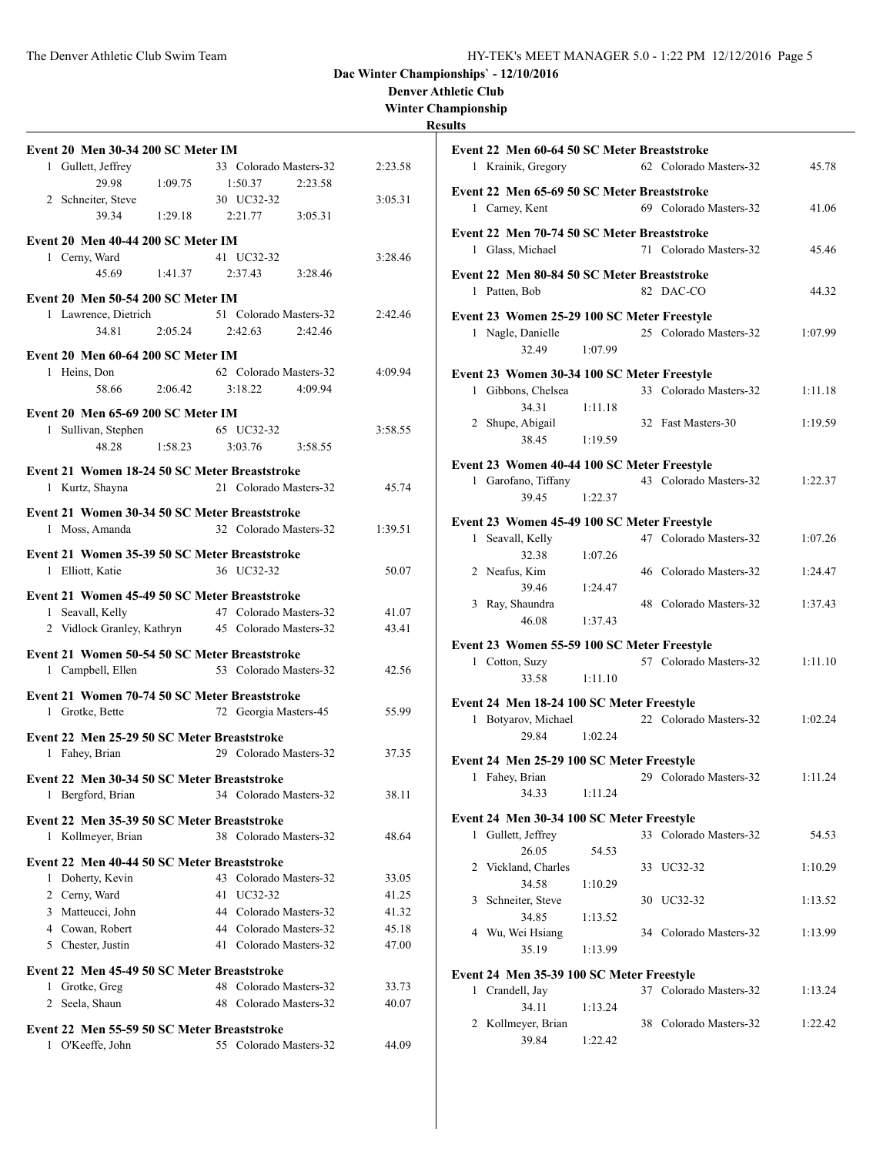#### **Denver Athletic Club**

**Winter Championship**

| <b>Event 20 Men 30-34 200 SC Meter IM</b>                     |         |                                   |                    |
|---------------------------------------------------------------|---------|-----------------------------------|--------------------|
| 1 Gullett, Jeffrey                                            |         | 33 Colorado Masters-32            | 2:23.58            |
| 29.98                                                         | 1:09.75 | 1:50.37                           | 2:23.58            |
| 2 Schneiter, Steve<br>39.34                                   | 1:29.18 | 30 UC32-32<br>2:21.77             | 3:05.31<br>3:05.31 |
|                                                               |         |                                   |                    |
| Event 20 Men 40-44 200 SC Meter IM                            |         |                                   |                    |
| 1 Cerny, Ward<br>45.69                                        | 1:41.37 | 41 UC32-32<br>2:37.43             | 3:28.46<br>3:28.46 |
|                                                               |         |                                   |                    |
| <b>Event 20 Men 50-54 200 SC Meter IM</b>                     |         |                                   |                    |
| 1 Lawrence, Dietrich<br>34.81                                 | 2:05.24 | 51 Colorado Masters-32<br>2:42.63 | 2:42.46<br>2:42.46 |
|                                                               |         |                                   |                    |
| Event 20 Men 60-64 200 SC Meter IM                            |         |                                   |                    |
| 1 Heins, Don<br>58.66                                         | 2:06.42 | 62 Colorado Masters-32<br>3:18.22 | 4:09.94<br>4:09.94 |
|                                                               |         |                                   |                    |
| Event 20 Men 65-69 200 SC Meter IM                            |         |                                   |                    |
| 1 Sullivan, Stephen<br>48.28                                  | 1:58.23 | 65 UC32-32<br>3:03.76             | 3:58.55<br>3:58.55 |
|                                                               |         |                                   |                    |
| Event 21 Women 18-24 50 SC Meter Breaststroke                 |         |                                   |                    |
| 1 Kurtz, Shayna                                               |         | 21 Colorado Masters-32            | 45.74              |
| Event 21 Women 30-34 50 SC Meter Breaststroke                 |         |                                   |                    |
| 1 Moss, Amanda                                                |         | 32 Colorado Masters-32            | 1:39.51            |
| Event 21 Women 35-39 50 SC Meter Breaststroke                 |         |                                   |                    |
| 1 Elliott, Katie                                              |         | 36 UC32-32                        | 50.07              |
| Event 21 Women 45-49 50 SC Meter Breaststroke                 |         |                                   |                    |
| 1 Seavall, Kelly                                              |         | 47 Colorado Masters-32            | 41.07              |
| 2 Vidlock Granley, Kathryn                                    |         | 45 Colorado Masters-32            | 43.41              |
| Event 21 Women 50-54 50 SC Meter Breaststroke                 |         |                                   |                    |
| 1 Campbell, Ellen                                             |         | 53 Colorado Masters-32            | 42.56              |
| Event 21 Women 70-74 50 SC Meter Breaststroke                 |         |                                   |                    |
| 1 Grotke, Bette                                               |         | 72 Georgia Masters-45             | 55.99              |
|                                                               |         |                                   |                    |
| Event 22 Men 25-29 50 SC Meter Breaststroke<br>1 Fahey, Brian |         | 29 Colorado Masters-32            | 37.35              |
|                                                               |         |                                   |                    |
| Event 22 Men 30-34 50 SC Meter Breaststroke                   |         |                                   |                    |
| Bergford, Brian<br>1                                          |         | 34 Colorado Masters-32            | 38.11              |
| Event 22 Men 35-39 50 SC Meter Breaststroke                   |         |                                   |                    |
| Kollmeyer, Brian<br>1                                         |         | 38 Colorado Masters-32            | 48.64              |
| Event 22 Men 40-44 50 SC Meter Breaststroke                   |         |                                   |                    |
| 1 Doherty, Kevin                                              |         | 43 Colorado Masters-32            | 33.05              |
| 2 Cerny, Ward                                                 |         | 41 UC32-32                        | 41.25              |
| 3 Matteucci, John                                             |         | 44 Colorado Masters-32            | 41.32              |
| 4 Cowan, Robert                                               |         | 44 Colorado Masters-32            | 45.18              |
| 5 Chester, Justin                                             |         | 41 Colorado Masters-32            | 47.00              |
| Event 22 Men 45-49 50 SC Meter Breaststroke                   |         |                                   |                    |
| 1 Grotke, Greg                                                |         | 48 Colorado Masters-32            | 33.73              |
| Seela, Shaun<br>2                                             |         | 48 Colorado Masters-32            | 40.07              |
| Event 22 Men 55-59 50 SC Meter Breaststroke                   |         |                                   |                    |
| 1 O'Keeffe, John                                              |         | 55 Colorado Masters-32            | 44.09              |
|                                                               |         |                                   |                    |

|              | Event 22 Men 60-64 50 SC Meter Breaststroke |         |    |                        |         |
|--------------|---------------------------------------------|---------|----|------------------------|---------|
|              | 1 Krainik, Gregory                          |         |    | 62 Colorado Masters-32 | 45.78   |
|              | Event 22 Men 65-69 50 SC Meter Breaststroke |         |    |                        |         |
|              | 1 Carney, Kent                              |         |    | 69 Colorado Masters-32 | 41.06   |
|              | Event 22 Men 70-74 50 SC Meter Breaststroke |         |    |                        |         |
|              | 1 Glass, Michael                            |         |    | 71 Colorado Masters-32 | 45.46   |
|              | Event 22 Men 80-84 50 SC Meter Breaststroke |         |    |                        |         |
|              | 1 Patten, Bob                               |         |    | 82 DAC-CO              | 44.32   |
|              |                                             |         |    |                        |         |
|              | Event 23 Women 25-29 100 SC Meter Freestyle |         |    | 25 Colorado Masters-32 |         |
|              | 1 Nagle, Danielle<br>32.49                  | 1:07.99 |    |                        | 1:07.99 |
|              |                                             |         |    |                        |         |
|              | Event 23 Women 30-34 100 SC Meter Freestyle |         |    |                        |         |
|              | 1 Gibbons, Chelsea                          |         |    | 33 Colorado Masters-32 | 1:11.18 |
|              | 34.31                                       | 1:11.18 |    |                        |         |
|              | 2 Shupe, Abigail                            |         |    | 32 Fast Masters-30     | 1:19.59 |
|              | 38.45                                       | 1:19.59 |    |                        |         |
|              | Event 23 Women 40-44 100 SC Meter Freestyle |         |    |                        |         |
|              | 1 Garofano, Tiffany                         |         |    | 43 Colorado Masters-32 | 1:22.37 |
|              | 39.45                                       | 1:22.37 |    |                        |         |
|              | Event 23 Women 45-49 100 SC Meter Freestyle |         |    |                        |         |
| $\mathbf{1}$ | Seavall, Kelly                              |         |    | 47 Colorado Masters-32 | 1:07.26 |
|              | 32.38                                       | 1:07.26 |    |                        |         |
|              | 2 Neafus, Kim                               |         |    | 46 Colorado Masters-32 | 1:24.47 |
|              | 39.46                                       | 1:24.47 |    |                        |         |
|              | 3 Ray, Shaundra                             |         |    | 48 Colorado Masters-32 | 1:37.43 |
|              | 46.08                                       | 1:37.43 |    |                        |         |
|              | Event 23 Women 55-59 100 SC Meter Freestyle |         |    |                        |         |
|              | 1 Cotton, Suzy                              |         |    | 57 Colorado Masters-32 | 1:11.10 |
|              | 33.58                                       | 1:11.10 |    |                        |         |
|              | Event 24 Men 18-24 100 SC Meter Freestyle   |         |    |                        |         |
|              | 1 Botyarov, Michael                         |         |    | 22 Colorado Masters-32 | 1:02.24 |
|              | 29.84                                       | 1:02.24 |    |                        |         |
|              | Event 24 Men 25-29 100 SC Meter Freestyle   |         |    |                        |         |
|              | 1 Fahey, Brian                              |         |    | 29 Colorado Masters-32 | 1:11.24 |
|              | 34.33                                       | 1:11.24 |    |                        |         |
|              |                                             |         |    |                        |         |
|              | Event 24 Men 30-34 100 SC Meter Freestyle   |         |    | 33 Colorado Masters-32 |         |
|              | 1 Gullett, Jeffrey<br>26.05                 | 54.53   |    |                        | 54.53   |
| 2            | Vickland, Charles                           |         | 33 | UC32-32                | 1:10.29 |
|              | 34.58                                       | 1:10.29 |    |                        |         |
|              | 3 Schneiter, Steve                          |         |    | 30 UC32-32             | 1:13.52 |
|              | 34.85                                       | 1:13.52 |    |                        |         |
|              | 4 Wu, Wei Hsiang                            |         |    | 34 Colorado Masters-32 | 1:13.99 |
|              | 35.19                                       | 1:13.99 |    |                        |         |
|              | Event 24 Men 35-39 100 SC Meter Freestyle   |         |    |                        |         |
|              | 1 Crandell, Jay                             |         |    | 37 Colorado Masters-32 | 1:13.24 |
|              | 34.11                                       | 1:13.24 |    |                        |         |
|              | 2 Kollmeyer, Brian                          |         |    | 38 Colorado Masters-32 | 1:22.42 |
|              | 39.84                                       | 1:22.42 |    |                        |         |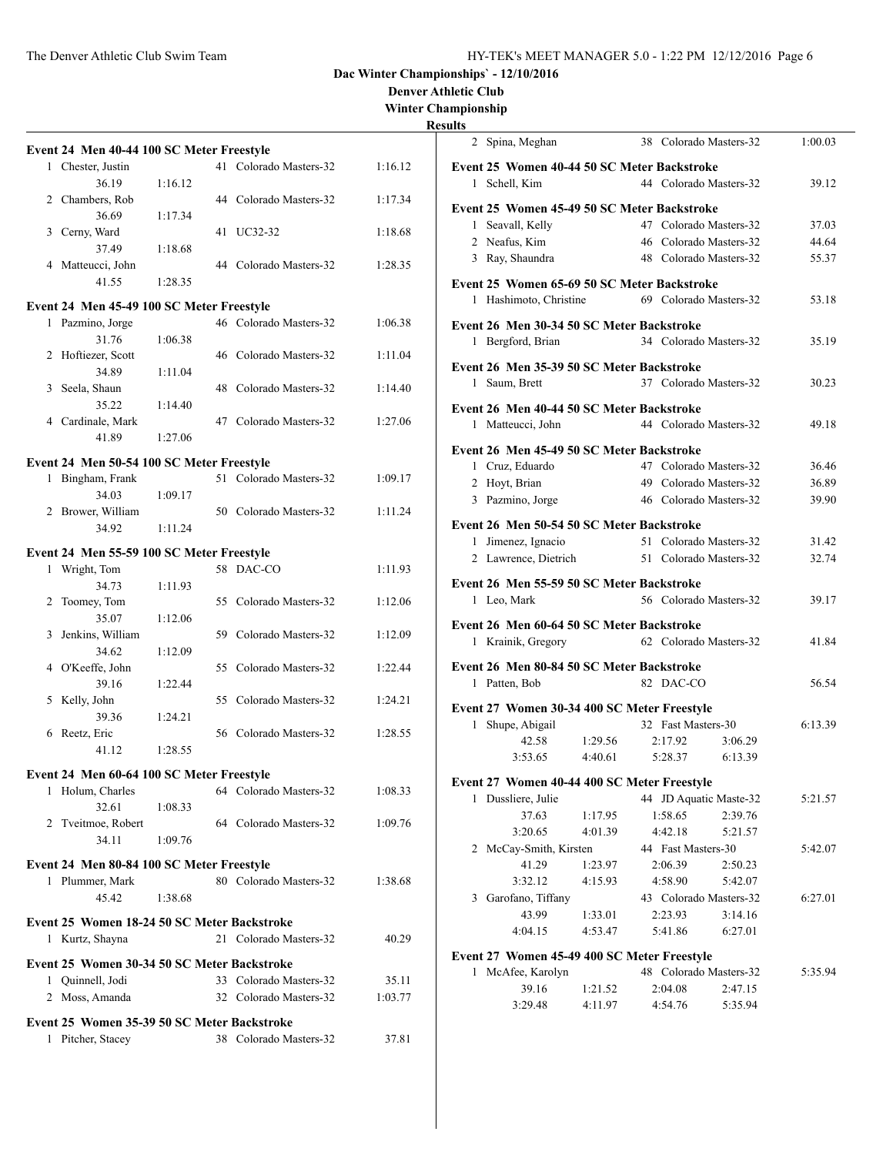**Denver Athletic Club**

**Winter Championship**

|    |                                             |         |     |                        |         | Res |
|----|---------------------------------------------|---------|-----|------------------------|---------|-----|
|    | Event 24 Men 40-44 100 SC Meter Freestyle   |         |     |                        |         |     |
|    | 1 Chester, Justin                           |         |     | 41 Colorado Masters-32 | 1:16.12 |     |
|    | 36.19                                       | 1:16.12 |     |                        |         |     |
|    | 2 Chambers, Rob                             |         |     | 44 Colorado Masters-32 | 1:17.34 |     |
|    | 36.69                                       | 1:17.34 |     |                        |         |     |
|    | 3 Cerny, Ward                               |         |     | 41 UC32-32             | 1:18.68 |     |
|    | 37.49                                       | 1:18.68 |     |                        |         |     |
|    | 4 Matteucci, John                           |         |     | 44 Colorado Masters-32 | 1:28.35 |     |
|    | 41.55                                       | 1:28.35 |     |                        |         |     |
|    | Event 24 Men 45-49 100 SC Meter Freestyle   |         |     |                        |         |     |
|    | 1 Pazmino, Jorge                            |         |     | 46 Colorado Masters-32 | 1:06.38 |     |
|    | 31.76                                       | 1:06.38 |     |                        |         |     |
|    | 2 Hoftiezer, Scott                          |         |     | 46 Colorado Masters-32 | 1:11.04 |     |
|    | 34.89                                       | 1:11.04 |     |                        |         |     |
|    | 3 Seela, Shaun                              |         | 48. | Colorado Masters-32    | 1:14.40 |     |
|    | 35.22                                       | 1:14.40 |     |                        |         |     |
|    | 4 Cardinale, Mark                           |         |     | 47 Colorado Masters-32 | 1:27.06 |     |
|    | 41.89                                       | 1:27.06 |     |                        |         |     |
|    |                                             |         |     |                        |         |     |
|    | Event 24 Men 50-54 100 SC Meter Freestyle   |         |     |                        |         |     |
|    | 1 Bingham, Frank                            |         |     | 51 Colorado Masters-32 | 1:09.17 |     |
|    | 34.03                                       | 1:09.17 |     |                        |         |     |
|    | 2 Brower, William                           |         |     | 50 Colorado Masters-32 | 1:11.24 |     |
|    | 34.92                                       | 1:11.24 |     |                        |         |     |
|    | Event 24 Men 55-59 100 SC Meter Freestyle   |         |     |                        |         |     |
| 1  | Wright, Tom                                 |         |     | 58 DAC-CO              | 1:11.93 |     |
|    | 34.73                                       | 1:11.93 |     |                        |         |     |
| 2  | Toomey, Tom                                 |         |     | 55 Colorado Masters-32 | 1:12.06 |     |
|    | 35.07                                       | 1:12.06 |     |                        |         |     |
| 3  | Jenkins, William                            |         |     | 59 Colorado Masters-32 | 1:12.09 |     |
|    | 34.62                                       | 1:12.09 |     |                        |         |     |
|    | 4 O'Keeffe, John                            |         | 55  | Colorado Masters-32    | 1:22.44 |     |
|    | 39.16                                       | 1:22.44 |     |                        |         |     |
| 5. | Kelly, John                                 |         |     | 55 Colorado Masters-32 | 1:24.21 |     |
|    | 39.36                                       | 1:24.21 |     |                        |         |     |
| 6  | Reetz, Eric                                 |         |     | 56 Colorado Masters-32 | 1:28.55 |     |
|    | 41.12                                       | 1:28.55 |     |                        |         |     |
|    | Event 24 Men 60-64 100 SC Meter Freestyle   |         |     |                        |         |     |
|    | 1 Holum, Charles                            |         |     | 64 Colorado Masters-32 | 1:08.33 |     |
|    | 32.61                                       | 1:08.33 |     |                        |         |     |
|    | 2 Tveitmoe, Robert                          |         |     | 64 Colorado Masters-32 | 1:09.76 |     |
|    | 34.11                                       | 1:09.76 |     |                        |         |     |
|    |                                             |         |     |                        |         |     |
|    | Event 24 Men 80-84 100 SC Meter Freestyle   |         |     |                        |         |     |
|    | 1 Plummer, Mark                             |         |     | 80 Colorado Masters-32 | 1:38.68 |     |
|    | 45.42                                       | 1:38.68 |     |                        |         |     |
|    | Event 25 Women 18-24 50 SC Meter Backstroke |         |     |                        |         |     |
|    | 1 Kurtz, Shayna                             |         |     | 21 Colorado Masters-32 | 40.29   |     |
|    |                                             |         |     |                        |         |     |
|    | Event 25 Women 30-34 50 SC Meter Backstroke |         |     |                        |         |     |
|    | 1 Quinnell, Jodi                            |         |     | 33 Colorado Masters-32 | 35.11   |     |
|    | 2 Moss, Amanda                              |         |     | 32 Colorado Masters-32 | 1:03.77 |     |
|    | Event 25 Women 35-39 50 SC Meter Backstroke |         |     |                        |         |     |
|    | 1 Pitcher, Stacey                           |         |     | 38 Colorado Masters-32 | 37.81   |     |
|    |                                             |         |     |                        |         |     |
|    |                                             |         |     |                        |         |     |

|   | 2 Spina, Meghan                             |                    | 38 Colorado Masters-32 |                    | 1:00.03 |
|---|---------------------------------------------|--------------------|------------------------|--------------------|---------|
|   | Event 25 Women 40-44 50 SC Meter Backstroke |                    |                        |                    |         |
|   | 1 Schell, Kim                               |                    | 44 Colorado Masters-32 |                    | 39.12   |
|   | Event 25 Women 45-49 50 SC Meter Backstroke |                    |                        |                    |         |
|   | 1 Seavall, Kelly                            |                    | 47 Colorado Masters-32 |                    | 37.03   |
|   | 2 Neafus, Kim                               |                    | 46 Colorado Masters-32 |                    | 44.64   |
|   | 3 Ray, Shaundra                             |                    | 48 Colorado Masters-32 |                    | 55.37   |
|   |                                             |                    |                        |                    |         |
|   | Event 25 Women 65-69 50 SC Meter Backstroke |                    |                        |                    |         |
|   | 1 Hashimoto, Christine                      |                    | 69 Colorado Masters-32 |                    | 53.18   |
|   | Event 26 Men 30-34 50 SC Meter Backstroke   |                    |                        |                    |         |
|   | 1 Bergford, Brian                           |                    | 34 Colorado Masters-32 |                    | 35.19   |
|   | Event 26 Men 35-39 50 SC Meter Backstroke   |                    |                        |                    |         |
| 1 | Saum, Brett                                 |                    | 37 Colorado Masters-32 |                    | 30.23   |
|   |                                             |                    |                        |                    |         |
|   | Event 26 Men 40-44 50 SC Meter Backstroke   |                    |                        |                    |         |
|   | 1 Matteucci, John                           |                    | 44 Colorado Masters-32 |                    | 49.18   |
|   | Event 26 Men 45-49 50 SC Meter Backstroke   |                    |                        |                    |         |
|   | 1 Cruz, Eduardo                             |                    | 47 Colorado Masters-32 |                    | 36.46   |
|   | 2 Hoyt, Brian                               |                    | 49 Colorado Masters-32 |                    | 36.89   |
|   | 3 Pazmino, Jorge                            |                    | 46 Colorado Masters-32 |                    | 39.90   |
|   | Event 26 Men 50-54 50 SC Meter Backstroke   |                    |                        |                    |         |
|   | 1 Jimenez, Ignacio                          |                    | 51 Colorado Masters-32 |                    | 31.42   |
|   | 2 Lawrence, Dietrich                        |                    | 51 Colorado Masters-32 |                    | 32.74   |
|   | Event 26 Men 55-59 50 SC Meter Backstroke   |                    |                        |                    |         |
|   |                                             |                    |                        |                    |         |
|   |                                             |                    |                        |                    |         |
|   | 1 Leo, Mark                                 |                    | 56 Colorado Masters-32 |                    | 39.17   |
|   | Event 26 Men 60-64 50 SC Meter Backstroke   |                    |                        |                    |         |
|   | 1 Krainik, Gregory                          |                    | 62 Colorado Masters-32 |                    | 41.84   |
|   | Event 26 Men 80-84 50 SC Meter Backstroke   |                    |                        |                    |         |
|   | 1 Patten, Bob                               |                    | 82 DAC-CO              |                    | 56.54   |
|   |                                             |                    |                        |                    |         |
|   | Event 27 Women 30-34 400 SC Meter Freestyle |                    |                        |                    |         |
| 1 | Shupe, Abigail                              |                    | 32 Fast Masters-30     |                    | 6:13.39 |
|   | 42.58                                       | 1:29.56            | 2:17.92                | 3:06.29            |         |
|   | 3:53.65                                     | 4:40.61            | 5:28.37 6:13.39        |                    |         |
|   | Event 27 Women 40-44 400 SC Meter Freestyle |                    |                        |                    |         |
| 1 | Dussliere, Julie                            |                    | 44 JD Aquatic Maste-32 |                    | 5:21.57 |
|   | 37.63                                       | 1:17.95            | 1:58.65                | 2:39.76            |         |
|   | 3:20.65                                     | 4:01.39            | 4:42.18                | 5:21.57            |         |
|   | 2 McCay-Smith, Kirsten                      |                    | 44 Fast Masters-30     |                    | 5:42.07 |
|   | 41.29                                       | 1:23.97            | 2:06.39                | 2:50.23            |         |
|   | 3:32.12                                     | 4:15.93            | 4:58.90                | 5:42.07            |         |
| 3 | Garofano, Tiffany                           |                    | 43 Colorado Masters-32 | 3:14.16            | 6:27.01 |
|   | 43.99<br>4:04.15                            | 1:33.01<br>4:53.47 | 2:23.93<br>5:41.86     | 6:27.01            |         |
|   |                                             |                    |                        |                    |         |
|   | Event 27 Women 45-49 400 SC Meter Freestyle |                    |                        |                    |         |
| 1 | McAfee, Karolyn                             |                    | 48 Colorado Masters-32 |                    | 5:35.94 |
|   | 39.16<br>3:29.48                            | 1:21.52<br>4:11.97 | 2:04.08<br>4:54.76     | 2:47.15<br>5:35.94 |         |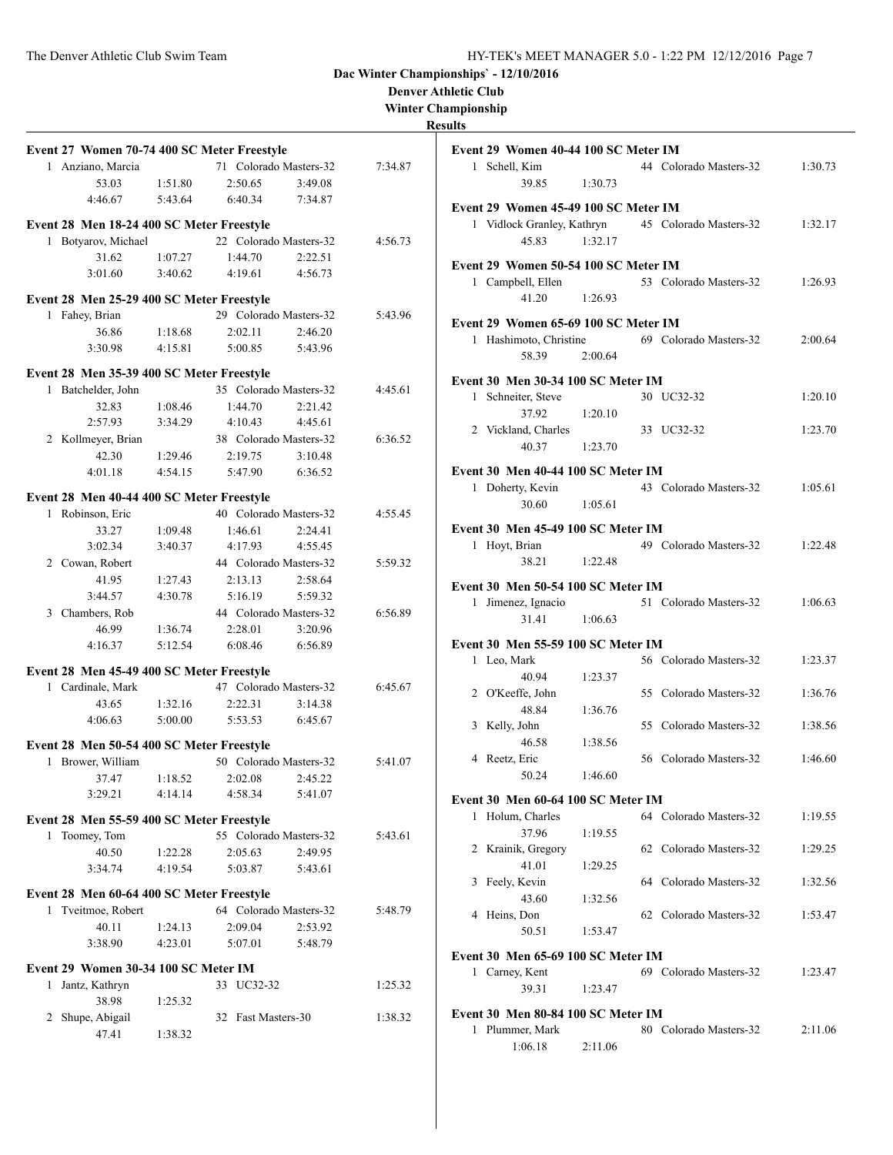**Denver Athletic Club**

## **Winter Championship**

| Event 27 Women 70-74 400 SC Meter Freestyle |         |                        |         |         |
|---------------------------------------------|---------|------------------------|---------|---------|
| 1 Anziano, Marcia                           |         | 71 Colorado Masters-32 |         | 7:34.87 |
| 53.03                                       | 1:51.80 | 2:50.65                | 3:49.08 |         |
| 4:46.67                                     | 5:43.64 | 6:40.34                | 7:34.87 |         |
|                                             |         |                        |         |         |
| Event 28 Men 18-24 400 SC Meter Freestyle   |         |                        |         |         |
| Botyarov, Michael<br>1                      |         | 22 Colorado Masters-32 |         | 4:56.73 |
| 31.62                                       | 1:07.27 | 1:44.70                | 2:22.51 |         |
| 3:01.60                                     | 3:40.62 | 4:19.61                | 4:56.73 |         |
| Event 28 Men 25-29 400 SC Meter Freestyle   |         |                        |         |         |
| 1 Fahey, Brian                              |         | 29 Colorado Masters-32 |         | 5:43.96 |
| 36.86                                       | 1:18.68 | 2:02.11                | 2:46.20 |         |
| 3:30.98                                     | 4:15.81 | 5:00.85                | 5:43.96 |         |
|                                             |         |                        |         |         |
| Event 28 Men 35-39 400 SC Meter Freestyle   |         |                        |         |         |
| Batchelder, John<br>1                       |         | 35 Colorado Masters-32 |         | 4:45.61 |
| 32.83                                       | 1:08.46 | 1:44.70                | 2:21.42 |         |
| 2:57.93                                     | 3:34.29 | 4:10.43                | 4:45.61 |         |
| 2 Kollmeyer, Brian                          |         | 38 Colorado Masters-32 |         | 6:36.52 |
| 42.30                                       | 1:29.46 | 2:19.75                | 3:10.48 |         |
| 4:01.18                                     | 4:54.15 | 5:47.90                | 6:36.52 |         |
| Event 28 Men 40-44 400 SC Meter Freestyle   |         |                        |         |         |
| 1 Robinson, Eric                            |         | 40 Colorado Masters-32 |         | 4:55.45 |
| 33.27                                       | 1:09.48 | 1:46.61                | 2:24.41 |         |
| 3:02.34                                     | 3:40.37 | 4:17.93                | 4:55.45 |         |
| 2 Cowan, Robert                             |         | 44 Colorado Masters-32 |         | 5:59.32 |
| 41.95                                       | 1:27.43 | 2:13.13                | 2:58.64 |         |
| 3:44.57                                     | 4:30.78 | 5:16.19                | 5:59.32 |         |
| 3 Chambers, Rob                             |         | 44 Colorado Masters-32 |         | 6:56.89 |
| 46.99                                       | 1:36.74 | 2:28.01                | 3:20.96 |         |
| 4:16.37                                     | 5:12.54 | 6:08.46                | 6:56.89 |         |
|                                             |         |                        |         |         |
| Event 28 Men 45-49 400 SC Meter Freestyle   |         |                        |         |         |
| 1 Cardinale, Mark                           |         | 47 Colorado Masters-32 |         | 6:45.67 |
| 43.65                                       | 1:32.16 | 2:22.31                | 3:14.38 |         |
| 4:06.63                                     | 5:00.00 | 5:53.53                | 6:45.67 |         |
| Event 28 Men 50-54 400 SC Meter Freestyle   |         |                        |         |         |
| 1 Brower, William                           |         | 50 Colorado Masters-32 |         | 5:41.07 |
| 37.47                                       | 1:18.52 | 2:02.08 2:45.22        |         |         |
| 3:29.21                                     | 4:14.14 | 4:58.34                | 5:41.07 |         |
|                                             |         |                        |         |         |
| Event 28 Men 55-59 400 SC Meter Freestyle   |         |                        |         |         |
| Toomey, Tom<br>1                            |         | 55 Colorado Masters-32 |         | 5:43.61 |
| 40.50                                       | 1:22.28 | 2:05.63                | 2:49.95 |         |
| 3:34.74                                     | 4:19.54 | 5:03.87                | 5:43.61 |         |
| Event 28 Men 60-64 400 SC Meter Freestyle   |         |                        |         |         |
| 1 Tveitmoe, Robert                          |         | 64 Colorado Masters-32 |         | 5:48.79 |
| 40.11                                       | 1:24.13 | 2:09.04                | 2:53.92 |         |
| 3:38.90                                     | 4:23.01 | 5:07.01                | 5:48.79 |         |
|                                             |         |                        |         |         |
| Event 29 Women 30-34 100 SC Meter IM        |         |                        |         |         |
| Jantz, Kathryn<br>1                         |         | 33 UC32-32             |         | 1:25.32 |
| 38.98                                       | 1:25.32 |                        |         |         |
| Shupe, Abigail<br>2                         |         | 32 Fast Masters-30     |         | 1:38.32 |
| 47.41                                       | 1:38.32 |                        |         |         |
|                                             |         |                        |         |         |

|   | Event 29 Women 40-44 100 SC Meter IM<br>1 Schell, Kim |         | 44 Colorado Masters-32                            | 1:30.73 |
|---|-------------------------------------------------------|---------|---------------------------------------------------|---------|
|   | 39.85                                                 | 1:30.73 |                                                   |         |
|   | Event 29 Women 45-49 100 SC Meter IM                  |         |                                                   |         |
|   |                                                       |         | 1 Vidlock Granley, Kathryn 45 Colorado Masters-32 | 1:32.17 |
|   | 45.83                                                 | 1:32.17 |                                                   |         |
|   | Event 29 Women 50-54 100 SC Meter IM                  |         |                                                   |         |
|   | 1 Campbell, Ellen                                     |         | 53 Colorado Masters-32                            | 1:26.93 |
|   | 41.20                                                 | 1:26.93 |                                                   |         |
|   | Event 29 Women 65-69 100 SC Meter IM                  |         |                                                   |         |
|   | 1 Hashimoto, Christine                                |         | 69 Colorado Masters-32                            | 2:00.64 |
|   | 58.39                                                 | 2:00.64 |                                                   |         |
|   | <b>Event 30 Men 30-34 100 SC Meter IM</b>             |         |                                                   |         |
|   | 1 Schneiter, Steve                                    |         | 30 UC32-32                                        | 1:20.10 |
|   | 37.92                                                 | 1:20.10 |                                                   |         |
|   | 2 Vickland, Charles                                   |         | 33 UC32-32                                        | 1:23.70 |
|   | 40.37                                                 | 1:23.70 |                                                   |         |
|   | Event 30 Men 40-44 100 SC Meter IM                    |         |                                                   |         |
|   | 1 Doherty, Kevin                                      |         | 43 Colorado Masters-32                            | 1:05.61 |
|   | 30.60                                                 | 1:05.61 |                                                   |         |
|   | Event 30 Men 45-49 100 SC Meter IM                    |         |                                                   |         |
| 1 | Hovt, Brian                                           |         | 49 Colorado Masters-32                            | 1:22.48 |
|   | 38.21                                                 | 1:22.48 |                                                   |         |
|   | Event 30 Men 50-54 100 SC Meter IM                    |         |                                                   |         |
|   | 1 Jimenez, Ignacio                                    |         | 51 Colorado Masters-32                            | 1:06.63 |
|   | 31.41                                                 | 1:06.63 |                                                   |         |
|   | Event 30 Men 55-59 100 SC Meter IM                    |         |                                                   |         |
|   | 1 Leo, Mark                                           |         | 56 Colorado Masters-32                            | 1:23.37 |
|   | 40.94                                                 | 1:23.37 |                                                   |         |
|   | 2 O'Keeffe, John<br>48.84                             | 1:36.76 | 55 Colorado Masters-32                            | 1:36.76 |
|   | 3 Kelly, John                                         |         | 55 Colorado Masters-32                            | 1:38.56 |
|   | 46.58                                                 | 1:38.56 |                                                   |         |
|   | 4 Reetz, Eric                                         |         | 56 Colorado Masters-32                            | 1:46.60 |
|   | 50.24                                                 | 1:46.60 |                                                   |         |
|   | Event 30 Men 60-64 100 SC Meter IM                    |         |                                                   |         |
| 1 | Holum, Charles                                        |         | 64 Colorado Masters-32                            | 1:19.55 |
|   | 37.96                                                 | 1:19.55 |                                                   |         |
| 2 | Krainik, Gregory                                      |         | 62 Colorado Masters-32                            | 1:29.25 |
|   | 41.01                                                 | 1:29.25 |                                                   |         |
| 3 | Feely, Kevin                                          |         | 64 Colorado Masters-32                            | 1:32.56 |
|   | 43.60<br>4 Heins, Don                                 | 1:32.56 | 62 Colorado Masters-32                            | 1:53.47 |
|   | 50.51                                                 | 1:53.47 |                                                   |         |
|   |                                                       |         |                                                   |         |
| 1 | Event 30 Men 65-69 100 SC Meter IM                    |         | 69 Colorado Masters-32                            |         |
|   | Carney, Kent<br>39.31                                 | 1:23.47 |                                                   | 1:23.47 |
|   |                                                       |         |                                                   |         |
|   | Event 30 Men 80-84 100 SC Meter IM                    |         | 80 Colorado Masters-32                            |         |
|   | 1 Plummer, Mark<br>1:06.18                            | 2:11.06 |                                                   | 2:11.06 |
|   |                                                       |         |                                                   |         |